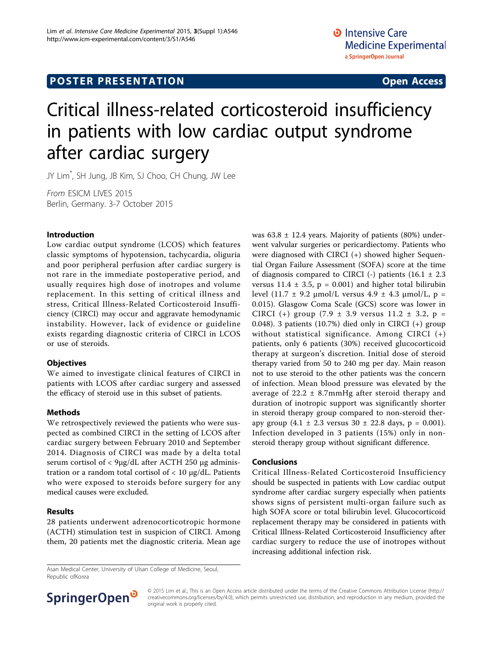# **POSTER PRESENTATION CONSUMING THE SERVICE SERVICE SERVICES**

# Critical illness-related corticosteroid insufficiency in patients with low cardiac output syndrome after cardiac surgery

JY Lim\* , SH Jung, JB Kim, SJ Choo, CH Chung, JW Lee

From ESICM LIVES 2015 Berlin, Germany. 3-7 October 2015

#### Introduction

Low cardiac output syndrome (LCOS) which features classic symptoms of hypotension, tachycardia, oliguria and poor peripheral perfusion after cardiac surgery is not rare in the immediate postoperative period, and usually requires high dose of inotropes and volume replacement. In this setting of critical illness and stress, Critical Illness-Related Corticosteroid Insufficiency (CIRCI) may occur and aggravate hemodynamic instability. However, lack of evidence or guideline exists regarding diagnostic criteria of CIRCI in LCOS or use of steroids.

#### **Objectives**

We aimed to investigate clinical features of CIRCI in patients with LCOS after cardiac surgery and assessed the efficacy of steroid use in this subset of patients.

## Methods

We retrospectively reviewed the patients who were suspected as combined CIRCI in the setting of LCOS after cardiac surgery between February 2010 and September 2014. Diagnosis of CIRCI was made by a delta total serum cortisol of < 9µg/dL after ACTH 250 µg administration or a random total cortisol of  $< 10 \mu g/dL$ . Patients who were exposed to steroids before surgery for any medical causes were excluded.

## Results

28 patients underwent adrenocorticotropic hormone (ACTH) stimulation test in suspicion of CIRCI. Among them, 20 patients met the diagnostic criteria. Mean age was  $63.8 \pm 12.4$  years. Majority of patients (80%) underwent valvular surgeries or pericardiectomy. Patients who were diagnosed with CIRCI (+) showed higher Sequential Organ Failure Assessment (SOFA) score at the time of diagnosis compared to CIRCI (-) patients  $(16.1 \pm 2.3)$ versus  $11.4 \pm 3.5$ ,  $p = 0.001$ ) and higher total bilirubin level (11.7 ± 9.2  $\mu$ mol/L versus 4.9 ± 4.3  $\mu$ mol/L, p = 0.015). Glasgow Coma Scale (GCS) score was lower in CIRCI (+) group  $(7.9 \pm 3.9 \text{ versus } 11.2 \pm 3.2, \text{ p} =$ 0.048). 3 patients (10.7%) died only in CIRCI (+) group without statistical significance. Among CIRCI (+) patients, only 6 patients (30%) received glucocorticoid therapy at surgeon's discretion. Initial dose of steroid therapy varied from 50 to 240 mg per day. Main reason not to use steroid to the other patients was the concern of infection. Mean blood pressure was elevated by the average of  $22.2 \pm 8.7$ mmHg after steroid therapy and duration of inotropic support was significantly shorter in steroid therapy group compared to non-steroid therapy group  $(4.1 \pm 2.3 \text{ versus } 30 \pm 22.8 \text{ days}, p = 0.001).$ Infection developed in 3 patients (15%) only in nonsteroid therapy group without significant difference.

#### Conclusions

Critical Illness-Related Corticosteroid Insufficiency should be suspected in patients with Low cardiac output syndrome after cardiac surgery especially when patients shows signs of persistent multi-organ failure such as high SOFA score or total bilirubin level. Glucocorticoid replacement therapy may be considered in patients with Critical Illness-Related Corticosteroid Insufficiency after cardiac surgery to reduce the use of inotropes without increasing additional infection risk.

Asan Medical Center, University of Ulsan College of Medicine, Seoul, Republic ofKorea



© 2015 Lim et al.; This is an Open Access article distributed under the terms of the Creative Commons Attribution License [\(http://](http://creativecommons.org/licenses/by/4.0) [creativecommons.org/licenses/by/4.0](http://creativecommons.org/licenses/by/4.0)), which permits unrestricted use, distribution, and reproduction in any medium, provided the original work is properly cited.